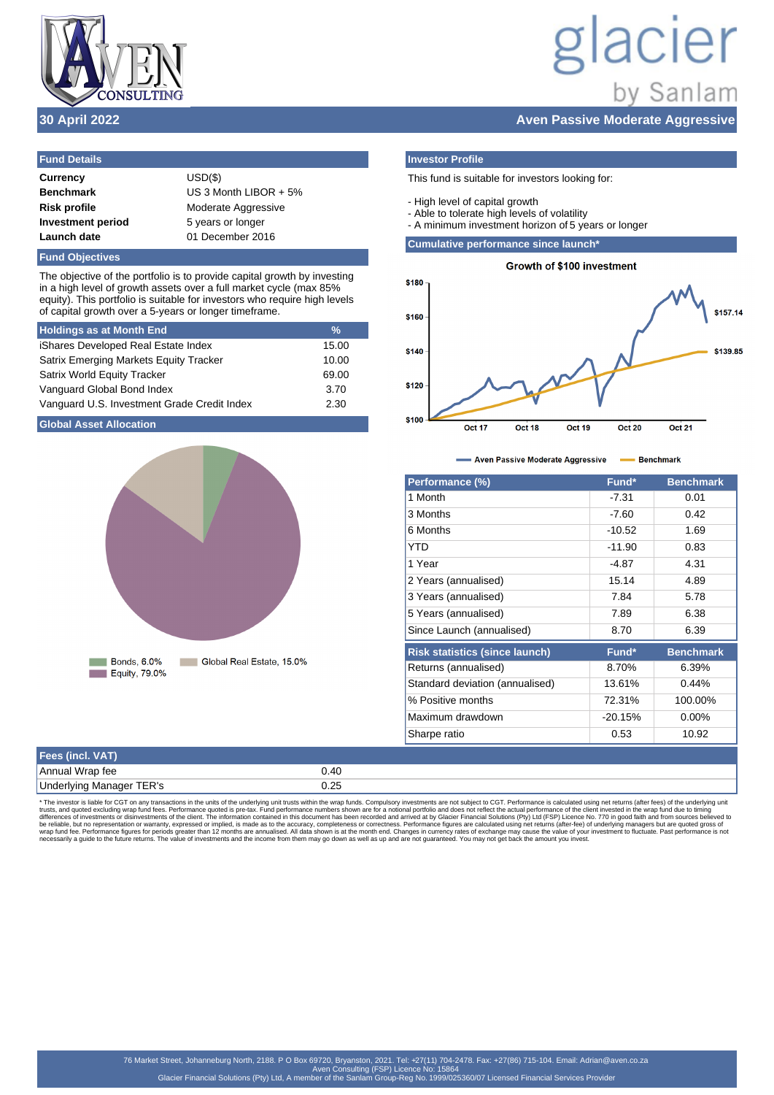

# lacier by Sanlam

## **30 April 2022 Aven Passive Moderate Aggressive**

| $USD(\$)$               |
|-------------------------|
| US 3 Month LIBOR $+5\%$ |
| Moderate Aggressive     |
| 5 years or longer       |
| 01 December 2016        |
|                         |

## **Fund Objectives**

The objective of the portfolio is to provide capital growth by investing in a high level of growth assets over a full market cycle (max 85% equity). This portfolio is suitable for investors who require high levels of capital growth over a 5-years or longer timeframe.

| <b>Holdings as at Month End</b>               | $\frac{9}{6}$ |
|-----------------------------------------------|---------------|
| iShares Developed Real Estate Index           | 15.00         |
| <b>Satrix Emerging Markets Equity Tracker</b> | 10.00         |
| <b>Satrix World Equity Tracker</b>            | 69.00         |
| Vanguard Global Bond Index                    | 3.70          |
| Vanguard U.S. Investment Grade Credit Index   | 2.30          |

## **Global Asset Allocation**



## **Investor Profile**

## This fund is suitable for investors looking for:

- High level of capital growth
- Able to tolerate high levels of volatility
- A minimum investment horizon of 5 years or longer

## **Cumulative performance since launch\***



### - Aven Passive Moderate Aggressive - Benchmark à.

| Performance (%)                       | Fund*     | <b>Benchmark</b> |
|---------------------------------------|-----------|------------------|
| 1 Month                               | $-7.31$   | 0.01             |
| 3 Months                              | $-7.60$   | 0.42             |
| 6 Months                              | $-10.52$  | 1.69             |
| <b>YTD</b>                            | $-11.90$  | 0.83             |
| 1 Year                                | -4.87     | 4.31             |
| 2 Years (annualised)                  | 15.14     | 4.89             |
| 3 Years (annualised)                  | 7.84      | 5.78             |
| 5 Years (annualised)                  | 7.89      | 6.38             |
| Since Launch (annualised)             | 8.70      | 6.39             |
| <b>Risk statistics (since launch)</b> | Fund*     | <b>Benchmark</b> |
| Returns (annualised)                  | 8.70%     | 6.39%            |
| Standard deviation (annualised)       | 13.61%    | 0.44%            |
| % Positive months                     | 72.31%    | 100.00%          |
| Maximum drawdown                      | $-20.15%$ | $0.00\%$         |
| Sharpe ratio                          | 0.53      | 10.92            |

| Fees (incl. VAT)         |      |
|--------------------------|------|
| Annual Wrap fee          | 0.40 |
| Underlying Manager TER's | 0.25 |

\* The investor is liable for CGT on any transactions in the units of the underlying unit trusts within the wrap funds. Compulsory investments are not subject to CGT. Performance is calculated using net returns (after fees)